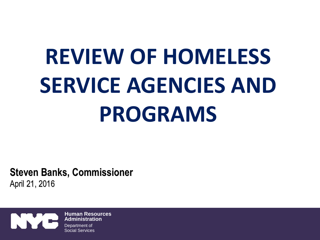# **REVIEW OF HOMELESS SERVICE AGENCIES AND PROGRAMS**

**Steven Banks, Commissioner** April 21, 2016

**Human Resources Administration** Department of Social Services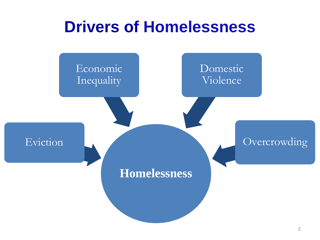#### **Drivers of Homelessness**

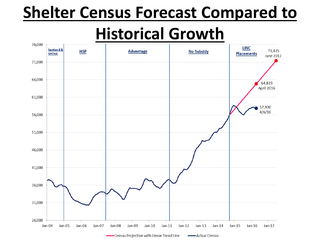# **Shelter Census Forecast Compared to**

### **Historical Growth**

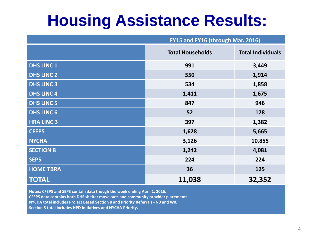# **Housing Assistance Results:**

|                   | FY15 and FY16 (through Mar. 2016) |                          |
|-------------------|-----------------------------------|--------------------------|
|                   | <b>Total Households</b>           | <b>Total Individuals</b> |
| <b>DHS LINC 1</b> | 991                               | 3,449                    |
| <b>DHS LINC 2</b> | 550                               | 1,914                    |
| <b>DHS LINC 3</b> | 534                               | 1,858                    |
| <b>DHS LINC 4</b> | 1,411                             | 1,675                    |
| <b>DHS LINC 5</b> | 847                               | 946                      |
| <b>DHS LINC 6</b> | 52                                | 178                      |
| <b>HRA LINC 3</b> | 397                               | 1,382                    |
| <b>CFEPS</b>      | 1,628                             | 5,665                    |
| <b>NYCHA</b>      | 3,126                             | 10,855                   |
| <b>SECTION 8</b>  | 1,242                             | 4,081                    |
| <b>SEPS</b>       | 224                               | 224                      |
| <b>HOME TBRA</b>  | 36                                | 125                      |
| <b>TOTAL</b>      | 11,038                            | 32,352                   |

**Notes: CFEPS and SEPS contain data though the week ending April 1, 2016.** 

**CFEPS data contains both DHS shelter move outs and community provider placements.** 

**NYCHA total includes Project Based Section 8 and Priority Referrals - N0 and W0.**

**Section 8 total includes HPD Initiatives and NYCHA Priority.**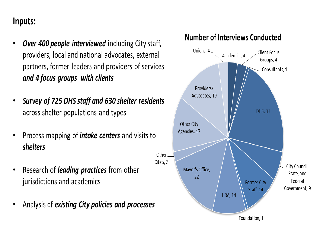#### Inputs:

- Over 400 people interviewed including City staff, providers, local and national advocates, external partners, former leaders and providers of services and 4 focus groups with clients
- Survey of 725 DHS staff and 630 shelter residents across shelter populations and types
- Process mapping of *intake centers* and visits to shelters
- Research of *leading practices* from other jurisdictions and academics
- Analysis of existing City policies and processes



**Number of Interviews Conducted**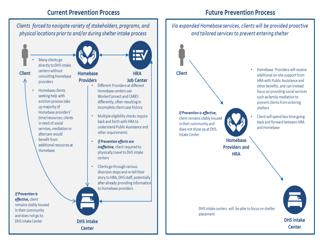#### **Current Prevention Process**

Clients forced to navigate variety of stakeholders, programs, and physical locations prior to and/or during shelter intake process

**DHS Intake** 

**Center** 

Many clients go directly to DHS intake centers without **Client** consulting Homebase providers Homebase clients seeking help with eviction process take up majority of Homebase providers' time/resources: clients in need of social services, mediation or aftercare would benefit from additional resources at Homebase

**If Prevention is** effective, client remains stably housed in their community and does not go to **DHS Intake Center** 



#### **Future Prevention Process**

#### Via expanded Homebase services, clients will be provided proactive and tailored services to prevent entering shelter Homebase Providers will receive **Client** additional on-site support from HRA with Public Assistance and other benefits, and can instead focus on providing social services such as family mediation to prevent clients from entering shelters If Prevention is effective, Client will spend less time going client remains stably housed back and forward between HRA in their community and and Homebase does not show up at DHS Intake Center Homebase **Providers and HRA** DHS intake centers will be able to focus on shelter placement **DHS Intake** Center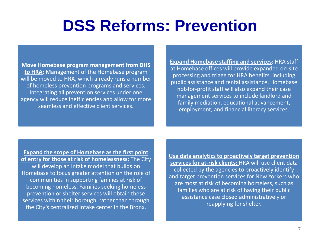### **DSS Reforms: Prevention**

**Move Homebase program management from DHS to HRA:** Management of the Homebase program will be moved to HRA, which already runs a number of homeless prevention programs and services. Integrating all prevention services under one agency will reduce inefficiencies and allow for more seamless and effective client services.

**Expand Homebase staffing and services:** HRA staff at Homebase offices will provide expanded on-site processing and triage for HRA benefits, including public assistance and rental assistance. Homebase not-for-profit staff will also expand their case management services to include landlord and family mediation, educational advancement, employment, and financial literacy services.

**Expand the scope of Homebase as the first point of entry for those at risk of homelessness:** The City will develop an intake model that builds on Homebase to focus greater attention on the role of communities in supporting families at risk of becoming homeless. Families seeking homeless prevention or shelter services will obtain these services within their borough, rather than through the City's centralized intake center in the Bronx.

**Use data analytics to proactively target prevention services for at-risk clients:** HRA will use client data collected by the agencies to proactively identify and target prevention services for New Yorkers who are most at risk of becoming homeless, such as families who are at risk of having their public assistance case closed administratively or reapplying for shelter.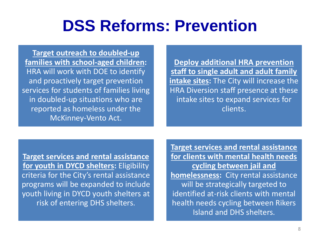## **DSS Reforms: Prevention**

**Target outreach to doubled-up families with school-aged children:**  HRA will work with DOE to identify and proactively target prevention services for students of families living in doubled-up situations who are reported as homeless under the McKinney-Vento Act.

**Deploy additional HRA prevention staff to single adult and adult family intake sites:** The City will increase the HRA Diversion staff presence at these intake sites to expand services for clients.

**Target services and rental assistance for youth in DYCD shelters:** Eligibility criteria for the City's rental assistance programs will be expanded to include youth living in DYCD youth shelters at risk of entering DHS shelters.

**Target services and rental assistance for clients with mental health needs cycling between jail and homelessness:** City rental assistance will be strategically targeted to identified at-risk clients with mental health needs cycling between Rikers Island and DHS shelters.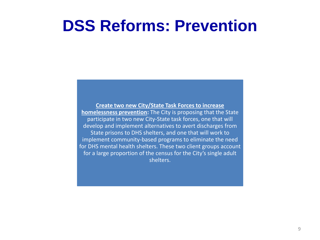#### **DSS Reforms: Prevention**

**Create two new City/State Task Forces to increase homelessness prevention:** The City is proposing that the State participate in two new City-State task forces, one that will develop and implement alternatives to avert discharges from State prisons to DHS shelters, and one that will work to implement community-based programs to eliminate the need for DHS mental health shelters. These two client groups account for a large proportion of the census for the City's single adult shelters.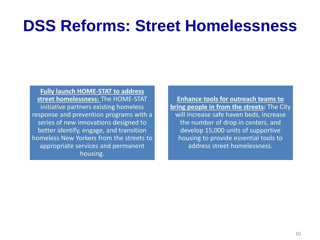## **DSS Reforms: Street Homelessness**

**Fully launch HOME-STAT to address street homelessness:** The HOME-STAT initiative partners existing homeless response and prevention programs with a series of new innovations designed to better identify, engage, and transition homeless New Yorkers from the streets to appropriate services and permanent housing.

**Enhance tools for outreach teams to bring people in from the streets:** The City will increase safe haven beds, increase the number of drop in centers, and develop 15,000 units of supportive housing to provide essential tools to address street homelessness.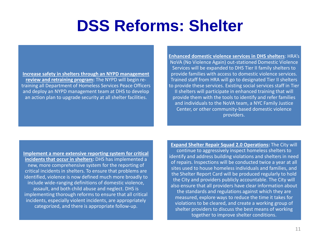**Increase safety in shelters through an NYPD management review and retraining program:** The NYPD will begin retraining all Department of Homeless Services Peace Officers and deploy an NYPD management team at DHS to develop an action plan to upgrade security at all shelter facilities.

**Enhanced domestic violence services in DHS shelters**: HRA's NoVA (No Violence Again) out-stationed Domestic Violence Services will be expanded to DHS Tier II family shelters to provide families with access to domestic violence services. Trained staff from HRA will go to designated Tier II shelters to provide these services. Existing social services staff in Tier II shelters will participate in enhanced training that will provide them with the tools to identify and refer families and individuals to the NoVA team, a NYC Family Justice Center, or other community-based domestic violence providers.

**Implement a more extensive reporting system for critical incidents that occur in shelters:** DHS has implemented a new, more comprehensive system for the reporting of critical incidents in shelters. To ensure that problems are identified, violence is now defined much more broadly to include wide-ranging definitions of domestic violence, assault, and both child abuse and neglect. DHS is implementing thorough reforms to ensure that all critical incidents, especially violent incidents, are appropriately categorized, and there is appropriate follow-up.

**Expand Shelter Repair Squad 2.0 Operations:** The City will continue to aggressively inspect homeless shelters to identify and address building violations and shelters in need of repairs. Inspections will be conducted twice a year at all sites used to house homeless individuals and families, and the Shelter Report Card will be produced regularly to hold the City and providers publicly accountable. The City will also ensure that all providers have clear information about the standards and regulations against which they are measured, explore ways to reduce the time it takes for violations to be cleared, and create a working group of shelter providers to discuss the best means of working together to improve shelter conditions.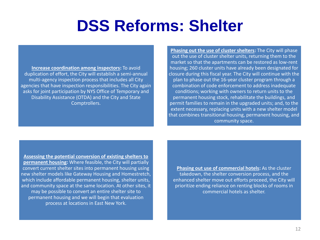**Increase coordination among inspectors:** To avoid duplication of effort, the City will establish a semi-annual multi-agency inspection process that includes all City agencies that have inspection responsibilities. The City again asks for joint participation by NYS Office of Temporary and Disability Assistance (OTDA) and the City and State Comptrollers.

**Phasing out the use of cluster shelters:** The City will phase out the use of cluster shelter units, returning them to the market so that the apartments can be restored as low-rent housing; 260 cluster units have already been designated for closure during this fiscal year. The City will continue with the plan to phase out the 16-year cluster program through a combination of code enforcement to address inadequate conditions; working with owners to return units to the permanent housing stock, rehabilitate the buildings, and permit families to remain in the upgraded units; and, to the extent necessary, replacing units with a new shelter model that combines transitional housing, permanent housing, and community space.

**Assessing the potential conversion of existing shelters to permanent housing:** Where feasible, the City will partially convert current shelter sites into permanent housing using new shelter models like Gateway Housing and Homestretch, which include affordable permanent housing, shelter units, and community space at the same location. At other sites, it may be possible to convert an entire shelter site to permanent housing and we will begin that evaluation process at locations in East New York.

**Phasing out use of commercial hotels:** As the cluster takedown, the shelter conversion process, and the enhanced shelter move out efforts proceed, the City will prioritize ending reliance on renting blocks of rooms in commercial hotels as shelter.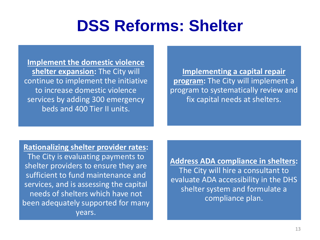**Implement the domestic violence shelter expansion:** The City will continue to implement the initiative to increase domestic violence services by adding 300 emergency beds and 400 Tier II units.

**Implementing a capital repair program:** The City will implement a program to systematically review and fix capital needs at shelters.

#### **Rationalizing shelter provider rates:**

The City is evaluating payments to shelter providers to ensure they are sufficient to fund maintenance and services, and is assessing the capital needs of shelters which have not been adequately supported for many years.

**Address ADA compliance in shelters:** The City will hire a consultant to evaluate ADA accessibility in the DHS shelter system and formulate a compliance plan.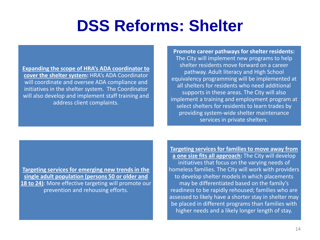**Expanding the scope of HRA's ADA coordinator to cover the shelter system:** HRA's ADA Coordinator will coordinate and oversee ADA compliance and initiatives in the shelter system. The Coordinator will also develop and implement staff training and address client complaints.

**Promote career pathways for shelter residents:** The City will implement new programs to help shelter residents move forward on a career pathway. Adult literacy and High School equivalency programming will be implemented at all shelters for residents who need additional supports in these areas. The City will also implement a training and employment program at select shelters for residents to learn trades by providing system-wide shelter maintenance services in private shelters.

**Targeting services for emerging new trends in the single adult population (persons 50 or older and 18 to 24)**: More effective targeting will promote our prevention and rehousing efforts.

**Targeting services for families to move away from a one size fits all approach:** The City will develop initiatives that focus on the varying needs of homeless families. The City will work with providers to develop shelter models in which placements may be differentiated based on the family's readiness to be rapidly rehoused; families who are assessed to likely have a shorter stay in shelter may be placed in different programs than families with higher needs and a likely longer length of stay.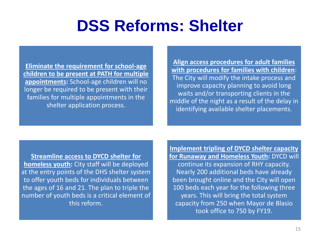**Eliminate the requirement for school-age children to be present at PATH for multiple appointments:** School-age children will no longer be required to be present with their families for multiple appointments in the shelter application process.

**Align access procedures for adult families with procedures for families with children**: The City will modify the intake process and improve capacity planning to avoid long waits and/or transporting clients in the middle of the night as a result of the delay in identifying available shelter placements.

**Streamline access to DYCD shelter for homeless youth:** City staff will be deployed at the entry points of the DHS shelter system to offer youth beds for individuals between the ages of 16 and 21. The plan to triple the number of youth beds is a critical element of this reform.

**Implement tripling of DYCD shelter capacity for Runaway and Homeless Youth:** DYCD will continue its expansion of RHY capacity. Nearly 200 additional beds have already been brought online and the City will open 100 beds each year for the following three years. This will bring the total system capacity from 250 when Mayor de Blasio took office to 750 by FY19.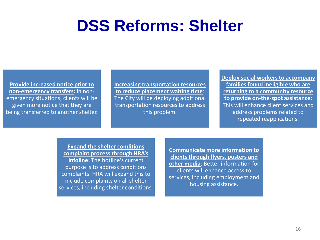**Provide increased notice prior to non-emergency transfers:** In nonemergency situations, clients will be given more notice that they are being transferred to another shelter. **Increasing transportation resources to reduce placement waiting time**: The City will be deploying additional transportation resources to address this problem.

**Deploy social workers to accompany families found ineligible who are returning to a community resource to provide on-the-spot assistance**: This will enhance client services and address problems related to repeated reapplications.

#### **Expand the shelter conditions complaint process through HRA's**

**Infoline:** The hotline's current purpose is to address conditions complaints. HRA will expand this to include complaints on all shelter services, including shelter conditions. **Communicate more information to clients through flyers, posters and other media**: Better information for clients will enhance access to services, including employment and housing assistance.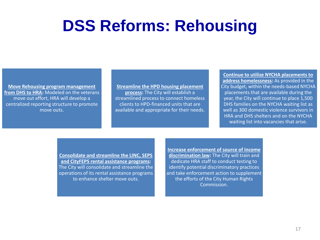## **DSS Reforms: Rehousing**

**Move Rehousing program management from DHS to HRA:** Modeled on the veterans move out effort, HRA will develop a centralized reporting structure to promote move outs.

**Streamline the HPD housing placement process:** The City will establish a streamlined process to connect homeless clients to HPD-financed units that are available and appropriate for their needs.

**Continue to utilize NYCHA placements to address homelessness:** As provided in the City budget, within the needs-based NYCHA placements that are available during the year, the City will continue to place 1,500 DHS families on the NYCHA waiting list as well as 300 domestic violence survivors in HRA and DHS shelters and on the NYCHA waiting list into vacancies that arise.

**Consolidate and streamline the LINC, SEPS and CityFEPS rental assistance programs:**  The City will consolidate and streamline the operations of its rental assistance programs to enhance shelter move outs.

**Increase enforcement of source of income discrimination law:** The City will train and dedicate HRA staff to conduct testing to identify potential discriminatory practices and take enforcement action to supplement the efforts of the City Human Rights Commission.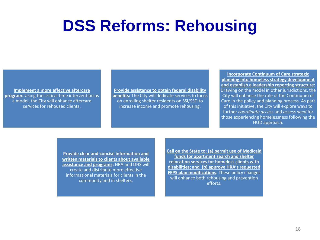## **DSS Reforms: Rehousing**

**Implement a more effective aftercare program:** Using the critical time intervention as a model, the City will enhance aftercare services for rehoused clients.

**Provide assistance to obtain federal disability benefits:** The City will dedicate services to focus on enrolling shelter residents on SSI/SSD to increase income and promote rehousing.

**Incorporate Continuum of Care strategic planning into homeless strategy development and establish a leadership reporting structure:**  Drawing on the model in other jurisdictions, the City will enhance the role of the Continuum of Care in the policy and planning process. As part of this initiative, the City will explore ways to further *coordinate access* and *assess need* for those experiencing homelessness following the HUD approach.

**Provide clear and concise information and written materials to clients about available assistance and programs:** HRA and DHS will create and distribute more effective informational materials for clients in the community and in shelters.

**Call on the State to: (a) permit use of Medicaid funds for apartment search and shelter relocation services for homeless clients with disabilities; and (b) approve HRA's requested FEPS plan modifications:** These policy changes will enhance both rehousing and prevention efforts.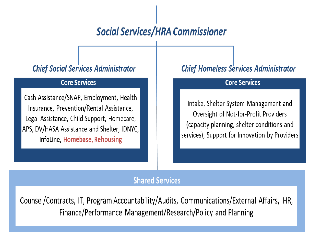#### **Social Services/HRA Commissioner**

#### **Chief Social Services Administrator**

#### **Core Services**

Cash Assistance/SNAP, Employment, Health Insurance, Prevention/Rental Assistance, Legal Assistance, Child Support, Homecare, APS, DV/HASA Assistance and Shelter, IDNYC, InfoLine, Homebase, Rehousing

#### **Chief Homeless Services Administrator**

#### **Core Services**

Intake, Shelter System Management and Oversight of Not-for-Profit Providers (capacity planning, shelter conditions and services), Support for Innovation by Providers

#### **Shared Services**

Counsel/Contracts, IT, Program Accountability/Audits, Communications/External Affairs, HR, Finance/Performance Management/Research/Policy and Planning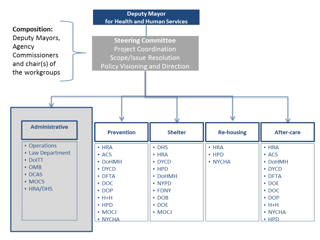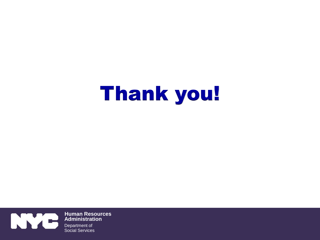# Thank you!



**Human Resources Administration** Department of Social Services